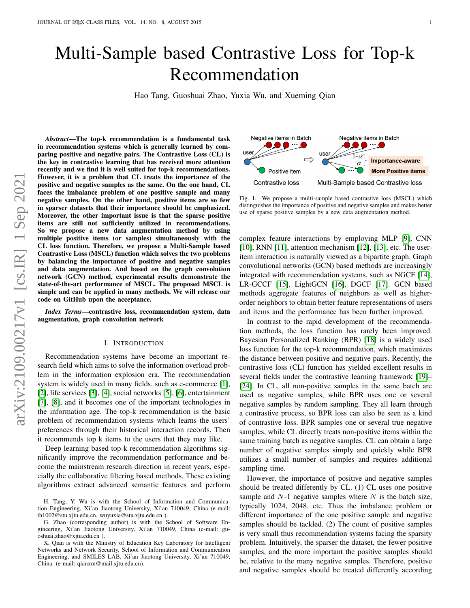# Multi-Sample based Contrastive Loss for Top-k Recommendation

Hao Tang, Guoshuai Zhao, Yuxia Wu, and Xueming Qian

*Abstract*—The top-k recommendation is a fundamental task in recommendation systems which is generally learned by comparing positive and negative pairs. The Contrastive Loss (CL) is the key in contrastive learning that has received more attention recently and we find it is well suited for top-k recommendations. However, it is a problem that CL treats the importance of the positive and negative samples as the same. On the one hand, CL faces the imbalance problem of one positive sample and many negative samples. On the other hand, positive items are so few in sparser datasets that their importance should be emphasized. Moreover, the other important issue is that the sparse positive items are still not sufficiently utilized in recommendations. So we propose a new data augmentation method by using multiple positive items (or samples) simultaneously with the CL loss function. Therefore, we propose a Multi-Sample based Contrastive Loss (MSCL) function which solves the two problems by balancing the importance of positive and negative samples and data augmentation. And based on the graph convolution network (GCN) method, experimental results demonstrate the state-of-the-art performance of MSCL. The proposed MSCL is simple and can be applied in many methods. We will release our code on GitHub upon the acceptance.

*Index Terms*—contrastive loss, recommendation system, data augmentation, graph convolution network

### I. INTRODUCTION

Recommendation systems have become an important research field which aims to solve the information overload problem in the information explosion era. The recommendation system is widely used in many fields, such as e-commerce [\[1\]](#page-10-0), [\[2\]](#page-10-1), life services [\[3\]](#page-10-2), [\[4\]](#page-10-3), social networks [\[5\]](#page-10-4), [\[6\]](#page-10-5), entertainment [\[7\]](#page-10-6), [\[8\]](#page-10-7), and it becomes one of the important technologies in the information age. The top-k recommendation is the basic problem of recommendation systems which learns the users' preferences through their historical interaction records. Then it recommends top k items to the users that they may like.

Deep learning based top-k recommendation algorithms significantly improve the recommendation performance and become the mainstream research direction in recent years, especially the collaborative filtering based methods. These existing algorithms extract advanced semantic features and perform



Fig. 1. We propose a multi-sample based contrastive loss (MSCL) which distinguishes the importance of positive and negative samples and makes better use of sparse positive samples by a new data augmentation method.

complex feature interactions by employing MLP [\[9\]](#page-10-8), CNN  $[10]$ , RNN  $[11]$ , attention mechanism  $[12]$ ,  $[13]$ , etc. The useritem interaction is naturally viewed as a bipartite graph. Graph convolutional networks (GCN) based methods are increasingly integrated with recommendation systems, such as NGCF [\[14\]](#page-10-13), LR-GCCF [\[15\]](#page-10-14), LightGCN [\[16\]](#page-10-15), DGCF [\[17\]](#page-10-16). GCN based methods aggregate features of neighbors as well as higherorder neighbors to obtain better feature representations of users and items and the performance has been further improved.

In contrast to the rapid development of the recommendation methods, the loss function has rarely been improved. Bayesian Personalized Ranking (BPR) [\[18\]](#page-10-17) is a widely used loss function for the top-k recommendation, which maximizes the distance between positive and negative pairs. Recently, the contrastive loss (CL) function has yielded excellent results in several fields under the contrastive learning framework [\[19\]](#page-10-18)– [\[24\]](#page-11-0). In CL, all non-positive samples in the same batch are used as negative samples, while BPR uses one or several negative samples by random sampling. They all learn through a contrastive process, so BPR loss can also be seen as a kind of contrastive loss. BPR samples one or several true negative samples, while CL directly treats non-positive items within the same training batch as negative samples. CL can obtain a large number of negative samples simply and quickly while BPR utilizes a small number of samples and requires additional sampling time.

However, the importance of positive and negative samples should be treated differently by CL. (1) CL uses one positive sample and  $N-1$  negative samples where  $N$  is the batch size, typically 1024, 2048, etc. Thus the imbalance problem or different importance of the one positive sample and negative samples should be tackled. (2) The count of positive samples is very small thus recommendation systems facing the sparsity problem. Intuitively, the sparser the dataset, the fewer positive samples, and the more important the positive samples should be, relative to the many negative samples. Therefore, positive and negative samples should be treated differently according

H. Tang, Y. Wu is with the School of Information and Communication Engineering, Xi'an Jiaotong University, Xi'an 710049, China (e-mail: th1002@stu.xjtu.edu.cn, wuyuxia@stu.xjtu.edu.cn ).

G. Zhao (corresponding author) is with the School of Software Engineering, Xi'an Jiaotong University, Xi'an 710049, China (e-mail: guoshuai.zhao@xjtu.edu.cn ).

X. Qian is with the Ministry of Education Key Laboratory for Intelligent Networks and Network Security, School of Information and Communication Engineering, and SMILES LAB, Xi'an Jiaotong University, Xi'an 710049, China. (e-mail: qianxm@mail.xjtu.edu.cn).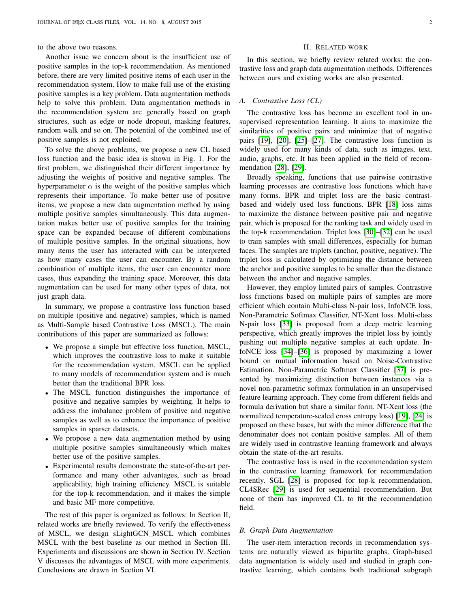to the above two reasons.

Another issue we concern about is the insufficient use of positive samples in the top-k recommendation. As mentioned before, there are very limited positive items of each user in the recommendation system. How to make full use of the existing positive samples is a key problem. Data augmentation methods help to solve this problem. Data augmentation methods in the recommendation system are generally based on graph structures, such as edge or node dropout, masking features, random walk and so on. The potential of the combined use of positive samples is not exploited.

To solve the above problems, we propose a new CL based loss function and the basic idea is shown in Fig. 1. For the first problem, we distinguished their different importance by adjusting the weights of positive and negative samples. The hyperparameter  $\alpha$  is the weight of the positive samples which represents their importance. To make better use of positive items, we propose a new data augmentation method by using multiple positive samples simultaneously. This data augmentation makes better use of positive samples for the training space can be expanded because of different combinations of multiple positive samples. In the original situations, how many items the user has interacted with can be interpreted as how many cases the user can encounter. By a random combination of multiple items, the user can encounter more cases, thus expanding the training space. Moreover, this data augmentation can be used for many other types of data, not just graph data.

In summary, we propose a contrastive loss function based on multiple (positive and negative) samples, which is named as Multi-Sample based Contrastive Loss (MSCL). The main contributions of this paper are summarized as follows:

- We propose a simple but effective loss function, MSCL, which improves the contrastive loss to make it suitable for the recommendation system. MSCL can be applied to many models of recommendation system and is much better than the traditional BPR loss.
- The MSCL function distinguishes the importance of positive and negative samples by weighting. It helps to address the imbalance problem of positive and negative samples as well as to enhance the importance of positive samples in sparser datasets.
- We propose a new data augmentation method by using multiple positive samples simultaneously which makes better use of the positive samples.
- Experimental results demonstrate the state-of-the-art performance and many other advantages, such as broad applicability, high training efficiency. MSCL is suitable for the top-k recommendation, and it makes the simple and basic MF more competitive.

The rest of this paper is organized as follows: In Section II, related works are briefly reviewed. To verify the effectiveness of MSCL, we design sLightGCN MSCL which combines MSCL with the best baseline as our method in Section III. Experiments and discussions are shown in Section IV. Section V discusses the advantages of MSCL with more experiments. Conclusions are drawn in Section VI.

# II. RELATED WORK

In this section, we briefly review related works: the contrastive loss and graph data augmentation methods. Differences between ours and existing works are also presented.

#### *A. Contrastive Loss (CL)*

The contrastive loss has become an excellent tool in unsupervised representation learning. It aims to maximize the similarities of positive pairs and minimize that of negative pairs [\[19\]](#page-10-18), [\[20\]](#page-10-19), [\[25\]](#page-11-1)–[\[27\]](#page-11-2). The contrastive loss function is widely used for many kinds of data, such as images, text, audio, graphs, etc. It has been applied in the field of recommendation [\[28\]](#page-11-3), [\[29\]](#page-11-4).

Broadly speaking, functions that use pairwise contrastive learning processes are contrastive loss functions which have many forms. BPR and triplet loss are the basic contrastbased and widely used loss functions. BPR [\[18\]](#page-10-17) loss aims to maximize the distance between positive pair and negative pair, which is proposed for the ranking task and widely used in the top-k recommendation. Triplet loss [\[30\]](#page-11-5)–[\[32\]](#page-11-6) can be used to train samples with small differences, especially for human faces. The samples are triplets (anchor, positive, negative). The triplet loss is calculated by optimizing the distance between the anchor and positive samples to be smaller than the distance between the anchor and negative samples.

However, they employ limited pairs of samples. Contrastive loss functions based on multiple pairs of samples are more efficient which contain Multi-class N-pair loss, InfoNCE loss, Non-Parametric Softmax Classifier, NT-Xent loss. Multi-class N-pair loss [\[33\]](#page-11-7) is proposed from a deep metric learning perspective, which greatly improves the triplet loss by jointly pushing out multiple negative samples at each update. InfoNCE loss [\[34\]](#page-11-8)–[\[36\]](#page-11-9) is proposed by maximizing a lower bound on mutual information based on Noise-Contrastive Estimation. Non-Parametric Softmax Classifier [\[37\]](#page-11-10) is presented by maximizing distinction between instances via a novel non-parametric softmax formulation in an unsupervised feature learning approach. They come from different fields and formula derivation but share a similar form. NT-Xent loss (the normalized temperature-scaled cross entropy loss) [\[19\]](#page-10-18), [\[24\]](#page-11-0) is proposed on these bases, but with the minor difference that the denominator does not contain positive samples. All of them are widely used in contrastive learning framework and always obtain the state-of-the-art results.

The contrastive loss is used in the recommendation system in the contrastive learning framework for recommendation recently. SGL [\[28\]](#page-11-3) is proposed for top-k recommendation, CL4SRec [\[29\]](#page-11-4) is used for sequential recommendation. But none of them has improved CL to fit the recommendation field.

## *B. Graph Data Augmentation*

The user-item interaction records in recommendation systems are naturally viewed as bipartite graphs. Graph-based data augmentation is widely used and studied in graph contrastive learning, which contains both traditional subgraph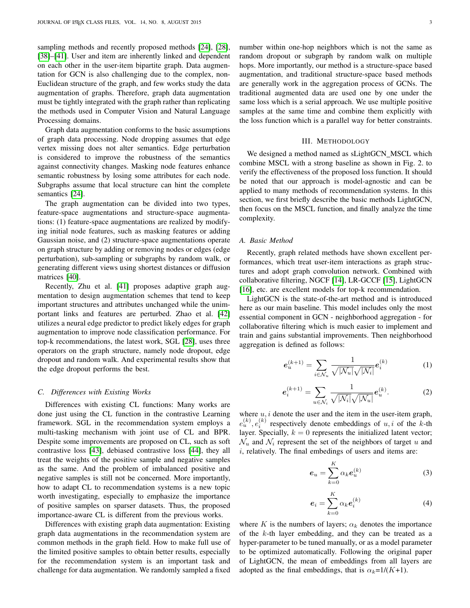sampling methods and recently proposed methods [\[24\]](#page-11-0), [\[28\]](#page-11-3), [\[38\]](#page-11-11)–[\[41\]](#page-11-12). User and item are inherently linked and dependent on each other in the user-item bipartite graph. Data augmentation for GCN is also challenging due to the complex, non-Euclidean structure of the graph, and few works study the data augmentation of graphs. Therefore, graph data augmentation must be tightly integrated with the graph rather than replicating the methods used in Computer Vision and Natural Language Processing domains.

Graph data augmentation conforms to the basic assumptions of graph data processing. Node dropping assumes that edge vertex missing does not alter semantics. Edge perturbation is considered to improve the robustness of the semantics against connectivity changes. Masking node features enhance semantic robustness by losing some attributes for each node. Subgraphs assume that local structure can hint the complete semantics [\[24\]](#page-11-0).

The graph augmentation can be divided into two types, feature-space augmentations and structure-space augmentations: (1) feature-space augmentations are realized by modifying initial node features, such as masking features or adding Gaussian noise, and (2) structure-space augmentations operate on graph structure by adding or removing nodes or edges (edge perturbation), sub-sampling or subgraphs by random walk, or generating different views using shortest distances or diffusion matrices [\[40\]](#page-11-13).

Recently, Zhu et al. [\[41\]](#page-11-12) proposes adaptive graph augmentation to design augmentation schemes that tend to keep important structures and attributes unchanged while the unimportant links and features are perturbed. Zhao et al. [\[42\]](#page-11-14) utilizes a neural edge predictor to predict likely edges for graph augmentation to improve node classification performance. For top-k recommendations, the latest work, SGL [\[28\]](#page-11-3), uses three operators on the graph structure, namely node dropout, edge dropout and random walk. And experimental results show that the edge dropout performs the best.

# *C. Differences with Existing Works*

Differences with existing CL functions: Many works are done just using the CL function in the contrastive Learning framework. SGL in the recommendation system employs a multi-tasking mechanism with joint use of CL and BPR. Despite some improvements are proposed on CL, such as soft contrastive loss [\[43\]](#page-11-15), debiased contrastive loss [\[44\]](#page-11-16), they all treat the weights of the positive sample and negative samples as the same. And the problem of imbalanced positive and negative samples is still not be concerned. More importantly, how to adapt CL to recommendation systems is a new topic worth investigating, especially to emphasize the importance of positive samples on sparser datasets. Thus, the proposed importance-aware CL is different from the previous works.

Differences with existing graph data augmentation: Existing graph data augmentations in the recommendation system are common methods in the graph field. How to make full use of the limited positive samples to obtain better results, especially for the recommendation system is an important task and challenge for data augmentation. We randomly sampled a fixed

number within one-hop neighbors which is not the same as random dropout or subgraph by random walk on multiple hops. More importantly, our method is a structure-space based augmentation, and traditional structure-space based methods are generally work in the aggregation process of GCNs. The traditional augmented data are used one by one under the same loss which is a serial approach. We use multiple positive samples at the same time and combine them explicitly with the loss function which is a parallel way for better constraints.

#### III. METHODOLOGY

We designed a method named as sLightGCN MSCL which combine MSCL with a strong baseline as shown in Fig. 2. to verify the effectiveness of the proposed loss function. It should be noted that our approach is model-agnostic and can be applied to many methods of recommendation systems. In this section, we first briefly describe the basic methods LightGCN, then focus on the MSCL function, and finally analyze the time complexity.

# *A. Basic Method*

Recently, graph related methods have shown excellent performances, which treat user-item interactions as graph structures and adopt graph convolution network. Combined with collaborative filtering, NGCF [\[14\]](#page-10-13), LR-GCCF [\[15\]](#page-10-14), LightGCN [\[16\]](#page-10-15), etc. are excellent models for top-k recommendation.

LightGCN is the state-of-the-art method and is introduced here as our main baseline. This model includes only the most essential component in GCN - neighborhood aggregation - for collaborative filtering which is much easier to implement and train and gains substantial improvements. Then neighborhood aggregation is defined as follows:

$$
e_u^{(k+1)} = \sum_{i \in \mathcal{N}_u} \frac{1}{\sqrt{|\mathcal{N}_u|} \sqrt{|\mathcal{N}_i|}} e_i^{(k)} \tag{1}
$$

$$
e_i^{(k+1)} = \sum_{u \in \mathcal{N}_i} \frac{1}{\sqrt{|\mathcal{N}_i|} \sqrt{|\mathcal{N}_u|}} e_u^{(k)}.
$$
 (2)

where  $u, i$  denote the user and the item in the user-item graph,  $e_u^{(k)}$ ,  $e_i^{(k)}$  respectively denote embeddings of u, i of the k-th layer. Specially,  $k = 0$  represents the initialized latent vector;  $\mathcal{N}_u$  and  $\mathcal{N}_i$  represent the set of the neighbors of target u and  $i$ , relatively. The final embedings of users and items are:

$$
e_u = \sum_{k=0}^{K} \alpha_k e_u^{(k)} \tag{3}
$$

$$
e_i = \sum_{k=0}^{K} \alpha_k e_i^{(k)} \tag{4}
$$

where K is the numbers of layers;  $\alpha_k$  denotes the importance of the  $k$ -th layer embedding, and they can be treated as a hyper-parameter to be tuned manually, or as a model parameter to be optimized automatically. Following the original paper of LightGCN, the mean of embeddings from all layers are adopted as the final embeddings, that is  $\alpha_k=1/(K+1)$ .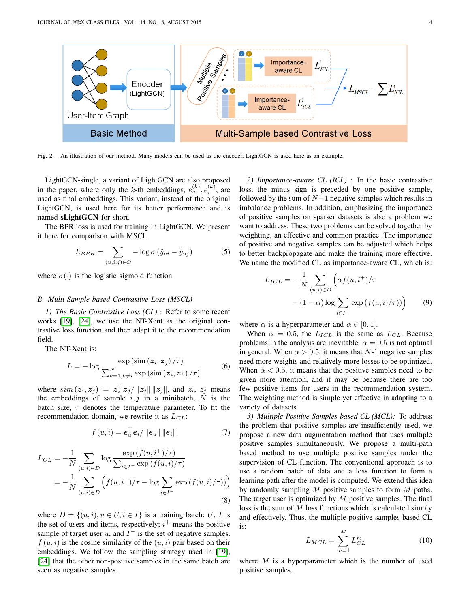

Fig. 2. An illustration of our method. Many models can be used as the encoder, LightGCN is used here as an example.

LightGCN-single, a variant of LightGCN are also proposed in the paper, where only the k-th embeddings,  $e_u^{(k)}$ ,  $e_i^{(k)}$ , are used as final embeddings. This variant, instead of the original LightGCN, is used here for its better performance and is named sLightGCN for short.

The BPR loss is used for training in LightGCN. We present it here for comparison with MSCL.

$$
L_{BPR} = \sum_{(u,i,j)\in O} -\log \sigma \left(\hat{y}_{ui} - \hat{y}_{uj}\right) \tag{5}
$$

where  $\sigma(\cdot)$  is the logistic sigmoid function.

#### *B. Multi-Sample based Contrastive Loss (MSCL)*

*1) The Basic Contrastive Loss (CL) :* Refer to some recent works [\[19\]](#page-10-18), [\[24\]](#page-11-0), we use the NT-Xent as the original contrastive loss function and then adapt it to the recommendation field.

The NT-Xent is:

$$
L = -\log \frac{\exp\left(\sin\left(z_i, z_j\right)/\tau\right)}{\sum_{k=1, k \neq i}^N \exp\left(\sin\left(z_i, z_k\right)/\tau\right)}
$$
(6)

where  $sim(z_i, z_j) = z_i^{\top} z_j / ||z_i|| ||z_j||$ , and  $z_i$ ,  $z_j$  means the embeddings of sample  $i, j$  in a minibatch, N is the batch size,  $\tau$  denotes the temperature parameter. To fit the recommendation domain, we rewrite it as  $L_{CL}$ :

$$
f(u, i) = e_u^{\top} e_i / ||e_u|| ||e_i||
$$
 (7)

$$
L_{CL} = -\frac{1}{N} \sum_{(u,i)\in D} \log \frac{\exp(f(u,i^{+})/\tau)}{\sum_{i\in I^{-}} \exp(f(u,i)/\tau)}
$$
  
= 
$$
-\frac{1}{N} \sum_{(u,i)\in D} \left( f(u,i^{+})/\tau - \log \sum_{i\in I^{-}} \exp(f(u,i)/\tau) \right)
$$
(8)

where  $D = \{(u, i), u \in U, i \in I\}$  is a training batch; U, I is the set of users and items, respectively;  $i^{+}$  means the positive sample of target user  $u$ , and  $I^-$  is the set of negative samples.  $f(u, i)$  is the cosine similarity of the  $(u, i)$  pair based on their embeddings. We follow the sampling strategy used in [\[19\]](#page-10-18), [\[24\]](#page-11-0) that the other non-positive samples in the same batch are seen as negative samples.

*2) Importance-aware CL (ICL) :* In the basic contrastive loss, the minus sign is preceded by one positive sample, followed by the sum of  $N-1$  negative samples which results in imbalance problems. In addition, emphasizing the importance of positive samples on sparser datasets is also a problem we want to address. These two problems can be solved together by weighting, an effective and common practice. The importance of positive and negative samples can be adjusted which helps to better backpropagate and make the training more effective. We name the modified CL as importance-aware CL, which is:

$$
L_{ICL} = -\frac{1}{N} \sum_{(u,i)\in D} \left( \alpha f(u,i^+)/\tau \right)
$$

$$
- (1-\alpha) \log \sum_{i\in I^-} \exp \left( f(u,i)/\tau \right) \right) \tag{9}
$$

where  $\alpha$  is a hyperparameter and  $\alpha \in [0, 1]$ .

When  $\alpha = 0.5$ , the  $L_{ICL}$  is the same as  $L_{CL}$ . Because problems in the analysis are inevitable,  $\alpha = 0.5$  is not optimal in general. When  $\alpha > 0.5$ , it means that N-1 negative samples need more weights and relatively more losses to be optimized. When  $\alpha$  < 0.5, it means that the positive samples need to be given more attention, and it may be because there are too few positive items for users in the recommendation system. The weighting method is simple yet effective in adapting to a variety of datasets.

*3) Multiple Positive Samples based CL (MCL):* To address the problem that positive samples are insufficiently used, we propose a new data augmentation method that uses multiple positive samples simultaneously. We propose a multi-path based method to use multiple positive samples under the supervision of CL function. The conventional approach is to use a random batch of data and a loss function to form a learning path after the model is computed. We extend this idea by randomly sampling  $M$  positive samples to form  $M$  paths. The target user is optimized by  $M$  positive samples. The final loss is the sum of M loss functions which is calculated simply and effectively. Thus, the multiple positive samples based CL is:

$$
L_{MCL} = \sum_{m=1}^{M} L_{CL}^{m}
$$
 (10)

where  $M$  is a hyperparameter which is the number of used positive samples.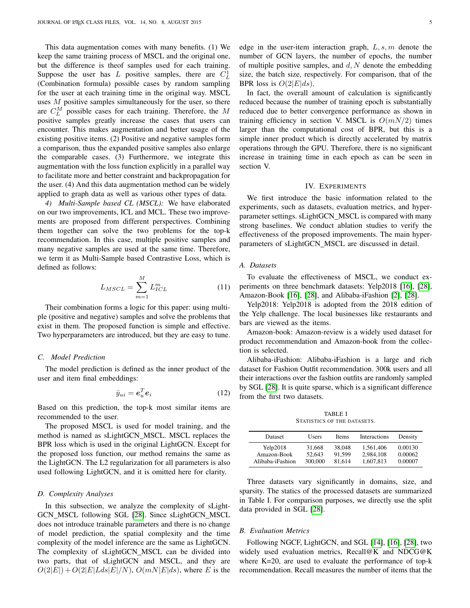This data augmentation comes with many benefits. (1) We keep the same training process of MSCL and the original one, but the difference is theof samples used for each training. Suppose the user has  $L$  positive samples, there are  $C_L^1$ (Combination formula) possible cases by random sampling for the user at each training time in the original way. MSCL uses  $M$  positive samples simultaneously for the user, so there are  $C_L^M$  possible cases for each training. Therefore, the M positive samples greatly increase the cases that users can encounter. This makes augmentation and better usage of the existing positive items. (2) Positive and negative samples form a comparison, thus the expanded positive samples also enlarge the comparable cases. (3) Furthermore, we integrate this augmentation with the loss function explicitly in a parallel way to facilitate more and better constraint and backpropagation for the user. (4) And this data augmentation method can be widely applied to graph data as well as various other types of data.

*4) Multi-Sample based CL (MSCL):* We have elaborated on our two improvements, ICL and MCL. These two improvements are proposed from different perspectives. Combining them together can solve the two problems for the top-k recommendation. In this case, multiple positive samples and many negative samples are used at the same time. Therefore, we term it as Multi-Sample based Contrastive Loss, which is defined as follows:

$$
L_{MSCL} = \sum_{m=1}^{M} L_{ICL}^m \tag{11}
$$

Their combination forms a logic for this paper: using multiple (positive and negative) samples and solve the problems that exist in them. The proposed function is simple and effective. Two hyperparameters are introduced, but they are easy to tune.

#### *C. Model Prediction*

The model prediction is defined as the inner product of the user and item final embeddings:

$$
\hat{y}_{ui} = \boldsymbol{e}_u^T \boldsymbol{e}_i \tag{12}
$$

Based on this prediction, the top-k most similar items are recommended to the user.

The proposed MSCL is used for model training, and the method is named as sLightGCN MSCL. MSCL replaces the BPR loss which is used in the original LightGCN. Except for the proposed loss function, our method remains the same as the LightGCN. The L2 regularization for all parameters is also used following LightGCN, and it is omitted here for clarity.

## *D. Complexity Analyses*

In this subsection, we analyze the complexity of sLight-GCN\_MSCL following SGL [\[28\]](#page-11-3). Since sLightGCN\_MSCL does not introduce trainable parameters and there is no change of model prediction, the spatial complexity and the time complexity of the model inference are the same as LightGCN. The complexity of sLightGCN\_MSCL can be divided into two parts, that of sLightGCN and MSCL, and they are  $O(2|E|) + O(2|E|Lds|E|/N)$ ,  $O(mN|E|ds)$ , where E is the edge in the user-item interaction graph,  $L, s, m$  denote the number of GCN layers, the number of epochs, the number of multiple positive samples, and  $d, N$  denote the embedding size, the batch size, respectively. For comparison, that of the BPR loss is  $O(2|E|ds)$ .

In fact, the overall amount of calculation is significantly reduced because the number of training epoch is substantially reduced due to better convergence performance as shown in training efficiency in section V. MSCL is  $O(mN/2)$  times larger than the computational cost of BPR, but this is a simple inner product which is directly accelerated by matrix operations through the GPU. Therefore, there is no significant increase in training time in each epoch as can be seen in section V.

# IV. EXPERIMENTS

We first introduce the basic information related to the experiments, such as datasets, evaluation metrics, and hyperparameter settings. sLightGCN MSCL is compared with many strong baselines. We conduct ablation studies to verify the effectiveness of the proposed improvements. The main hyperparameters of sLightGCN\_MSCL are discussed in detail.

# *A. Datasets*

To evaluate the effectiveness of MSCL, we conduct experiments on three benchmark datasets: Yelp2018 [\[16\]](#page-10-15), [\[28\]](#page-11-3), Amazon-Book [\[16\]](#page-10-15), [\[28\]](#page-11-3), and Alibaba-iFashion [\[2\]](#page-10-1), [\[28\]](#page-11-3).

Yelp2018: Yelp2018 is adopted from the 2018 edition of the Yelp challenge. The local businesses like restaurants and bars are viewed as the items.

Amazon-book: Amazon-review is a widely used dataset for product recommendation and Amazon-book from the collection is selected.

Alibaba-iFashion: Alibaba-iFashion is a large and rich dataset for Fashion Outfit recommendation. 300k users and all their interactions over the fashion outfits are randomly sampled by SGL [\[28\]](#page-11-3). It is quite sparse, which is a significant difference from the first two datasets.

TABLE I STATISTICS OF THE DATASETS.

| Dataset          | <b>Users</b> | <b>Items</b> | Interactions | Density |  |
|------------------|--------------|--------------|--------------|---------|--|
| Yelp2018         | 31.668       | 38,048       | 1.561.406    | 0.00130 |  |
| Amazon-Book      | 52,643       | 91.599       | 2.984.108    | 0.00062 |  |
| Alibaba-iFashion | 300,000      | 81.614       | 1,607,813    | 0.00007 |  |

Three datasets vary significantly in domains, size, and sparsity. The statics of the processed datasets are summarized in Table I. For comparison purposes, we directly use the split data provided in SGL [\[28\]](#page-11-3).

## *B. Evaluation Metrics*

Following NGCF, LightGCN, and SGL [\[14\]](#page-10-13), [\[16\]](#page-10-15), [\[28\]](#page-11-3), two widely used evaluation metrics, Recall@K and NDCG@K where K=20, are used to evaluate the performance of top-k recommendation. Recall measures the number of items that the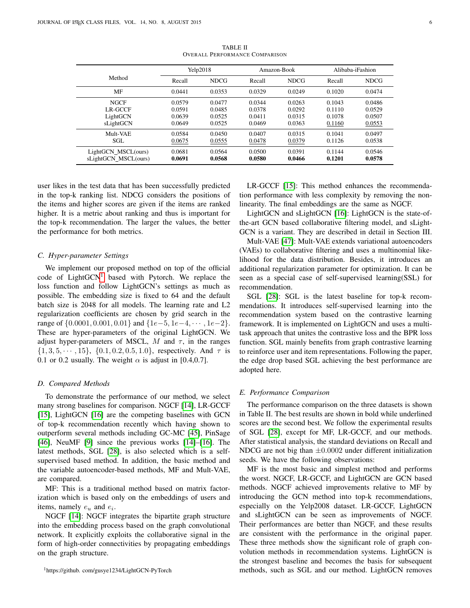|                                                 |                                      | Yelp2018                             |                                      | Amazon-Book                          |                                      | Alibaba-iFashion                     |
|-------------------------------------------------|--------------------------------------|--------------------------------------|--------------------------------------|--------------------------------------|--------------------------------------|--------------------------------------|
| Method                                          | Recall                               | <b>NDCG</b>                          | Recall                               | <b>NDCG</b>                          | Recall                               | <b>NDCG</b>                          |
| MF                                              | 0.0441                               | 0.0353                               | 0.0329                               | 0.0249                               | 0.1020                               | 0.0474                               |
| <b>NGCF</b><br>LR-GCCF<br>LightGCN<br>sLightGCN | 0.0579<br>0.0591<br>0.0639<br>0.0649 | 0.0477<br>0.0485<br>0.0525<br>0.0525 | 0.0344<br>0.0378<br>0.0411<br>0.0469 | 0.0263<br>0.0292<br>0.0315<br>0.0363 | 0.1043<br>0.1110<br>0.1078<br>0.1160 | 0.0486<br>0.0529<br>0.0507<br>0.0553 |
| Mult-VAE<br>SGL                                 | 0.0584<br>0.0675                     | 0.0450<br>0.0555                     | 0.0407<br>0.0478                     | 0.0315<br>0.0379                     | 0.1041<br>0.1126                     | 0.0497<br>0.0538                     |
| LightGCN_MSCL(ours)<br>sLightGCN_MSCL(ours)     | 0.0681<br>0.0691                     | 0.0564<br>0.0568                     | 0.0500<br>0.0580                     | 0.0391<br>0.0466                     | 0.1144<br>0.1201                     | 0.0546<br>0.0578                     |

TABLE II OVERALL PERFORMANCE COMPARISON

user likes in the test data that has been successfully predicted in the top-k ranking list. NDCG considers the positions of the items and higher scores are given if the items are ranked higher. It is a metric about ranking and thus is important for the top-k recommendation. The larger the values, the better the performance for both metrics.

#### *C. Hyper-parameter Settings*

We implement our proposed method on top of the official code of LightGCN<sup>[1](#page-5-0)</sup> based with Pytorch. We replace the loss function and follow LightGCN's settings as much as possible. The embedding size is fixed to 64 and the default batch size is 2048 for all models. The learning rate and L2 regularization coefficients are chosen by grid search in the range of  $\{0.0001, 0.001, 0.01\}$  and  $\{1e-5, 1e-4, \dots, 1e-2\}$ . These are hyper-parameters of the original LightGCN. We adjust hyper-parameters of MSCL,  $M$  and  $\tau$ , in the ranges  $\{1, 3, 5, \cdots, 15\}, \{0.1, 0.2, 0.5, 1.0\},$  respectively. And  $\tau$  is 0.1 or 0.2 usually. The weight  $\alpha$  is adjust in [0.4,0.7].

#### *D. Compared Methods*

To demonstrate the performance of our method, we select many strong baselines for comparison. NGCF [\[14\]](#page-10-13), LR-GCCF [\[15\]](#page-10-14), LightGCN [\[16\]](#page-10-15) are the competing baselines with GCN of top-k recommendation recently which having shown to outperform several methods including GC-MC [\[45\]](#page-11-17), PinSage [\[46\]](#page-11-18), NeuMF [\[9\]](#page-10-8) since the previous works [\[14\]](#page-10-13)–[\[16\]](#page-10-15). The latest methods, SGL [\[28\]](#page-11-3), is also selected which is a selfsupervised based method. In addition, the basic method and the variable autoencoder-based methods, MF and Mult-VAE, are compared.

MF: This is a traditional method based on matrix factorization which is based only on the embeddings of users and items, namely  $e_u$  and  $e_i$ .

<span id="page-5-0"></span>NGCF [\[14\]](#page-10-13): NGCF integrates the bipartite graph structure into the embedding process based on the graph convolutional network. It explicitly exploits the collaborative signal in the form of high-order connectivities by propagating embeddings on the graph structure.

LR-GCCF [\[15\]](#page-10-14): This method enhances the recommendation performance with less complexity by removing the nonlinearity. The final embeddings are the same as NGCF.

LightGCN and sLightGCN [\[16\]](#page-10-15): LightGCN is the state-ofthe-art GCN based collaborative filtering model, and sLight-GCN is a variant. They are described in detail in Section III.

Mult-VAE [\[47\]](#page-11-19): Mult-VAE extends variational autoencoders (VAEs) to collaborative filtering and uses a multinomial likelihood for the data distribution. Besides, it introduces an additional regularization parameter for optimization. It can be seen as a special case of self-supervised learning(SSL) for recommendation.

SGL [\[28\]](#page-11-3): SGL is the latest baseline for top-k recommendations. It introduces self-supervised learning into the recommendation system based on the contrastive learning framework. It is implemented on LightGCN and uses a multitask approach that unites the contrastive loss and the BPR loss function. SGL mainly benefits from graph contrastive learning to reinforce user and item representations. Following the paper, the edge drop based SGL achieving the best performance are adopted here.

## *E. Performance Comparison*

The performance comparison on the three datasets is shown in Table II. The best results are shown in bold while underlined scores are the second best. We follow the experimental results of SGL [\[28\]](#page-11-3), except for MF, LR-GCCF, and our methods. After statistical analysis, the standard deviations on Recall and NDCG are not big than  $\pm 0.0002$  under different initialization seeds. We have the following observations:

MF is the most basic and simplest method and performs the worst. NGCF, LR-GCCF, and LightGCN are GCN based methods. NGCF achieved improvements relative to MF by introducing the GCN method into top-k recommendations, especially on the Yelp2008 dataset. LR-GCCF, LightGCN and sLightGCN can be seen as improvements of NGCF. Their performances are better than NGCF, and these results are consistent with the performance in the original paper. These three methods show the significant role of graph convolution methods in recommendation systems. LightGCN is the strongest baseline and becomes the basis for subsequent methods, such as SGL and our method. LightGCN removes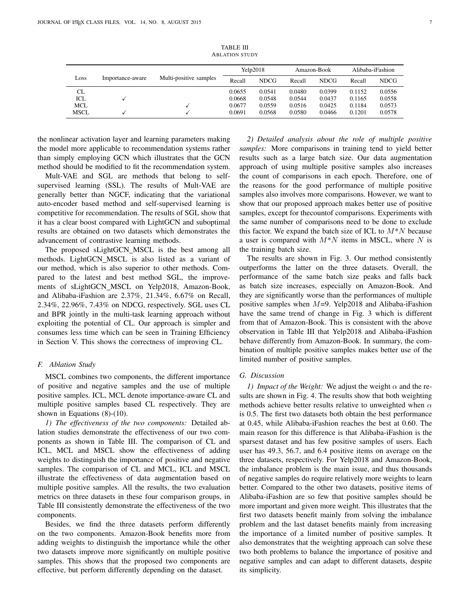|             |                  |                        | .      |             |        |             |        |                  |
|-------------|------------------|------------------------|--------|-------------|--------|-------------|--------|------------------|
|             |                  |                        |        | Yelp2018    |        | Amazon-Book |        | Alibaba-iFashion |
| Loss        | Importance-aware | Multi-positive samples | Recall | <b>NDCG</b> | Recall | <b>NDCG</b> | Recall | <b>NDCG</b>      |
| CL          |                  |                        | 0.0655 | 0.0541      | 0.0480 | 0.0399      | 0.1152 | 0.0556           |
| ICL         |                  |                        | 0.0668 | 0.0548      | 0.0544 | 0.0437      | 0.1165 | 0.0558           |
| MCL         |                  |                        | 0.0677 | 0.0559      | 0.0516 | 0.0425      | 0.1184 | 0.0573           |
| <b>MSCL</b> |                  |                        | 0.0691 | 0.0568      | 0.0580 | 0.0466      | 0.1201 | 0.0578           |

TABLE III A BLATION STUDY

the nonlinear activation layer and learning parameters making the model more applicable to recommendation systems rather than simply employing GCN which illustrates that the GCN method should be modified to fit the recommendation system.

Mult-VAE and SGL are methods that belong to selfsupervised learning (SSL). The results of Mult-VAE are generally better than NGCF, indicating that the variational auto-encoder based method and self-supervised learning is competitive for recommendation. The results of SGL show that it has a clear boost compared with LightGCN and suboptimal results are obtained on two datasets which demonstrates the advancement of contrastive learning methods.

The proposed sLightGCN\_MSCL is the best among all methods. LightGCN MSCL is also listed as a variant of our method, which is also superior to other methods. Compared to the latest and best method SGL, the improvements of sLightGCN MSCL on Yelp2018, Amazon-Book, and Alibaba-iFashion are 2.37%, 21.34%, 6.67% on Recall, 2.34%, 22.96%, 7.43% on NDCG, respectively. SGL uses CL and BPR jointly in the multi-task learning approach without exploiting the potential of CL. Our approach is simpler and consumes less time which can be seen in Training Efficiency in Section V. This shows the correctness of improving CL.

#### *F. Ablation Study*

MSCL combines two components, the different importance of positive and negative samples and the use of multiple positive samples. ICL, MCL denote importance-aware CL and multiple positive samples based CL respectively. They are shown in Equations (8)-(10).

*1) The effectiveness of the two components:* Detailed ablation studies demonstrate the effectiveness of our two components as shown in Table III. The comparison of CL and ICL, MCL and MSCL show the effectiveness of adding weights to distinguish the importance of positive and negative samples. The comparison of CL and MCL, ICL and MSCL illustrate the effectiveness of data augmentation based on multiple positive samples. All the results, the two evaluation metrics on three datasets in these four comparison groups, in Table III consistently demonstrate the effectiveness of the two components.

Besides, we find the three datasets perform differently on the two components. Amazon-Book benefits more from adding weights to distinguish the importance while the other two datasets improve more significantly on multiple positive samples. This shows that the proposed two components are effective, but perform differently depending on the dataset.

*2) Detailed analysis about the role of multiple positive samples:* More comparisons in training tend to yield better results such as a large batch size. Our data augmentation approach of using multiple positive samples also increases the count of comparisons in each epoch. Therefore, one of the reasons for the good performance of multiple positive samples also involves more comparisons. However, we want to show that our proposed approach makes better use of positive samples, except for thecountof comparisons. Experiments with the same number of comparisons need to be done to exclude this factor. We expand the batch size of ICL to  $M^*N$  because a user is compared with  $M^*N$  items in MSCL, where N is the training batch size.

The results are shown in Fig. 3. Our method consistently outperforms the latter on the three datasets. Overall, the performance of the same batch size peaks and falls back as batch size increases, especially on Amazon-Book. And they are significantly worse than the performances of multiple positive samples when  $M=9$ . Yelp2018 and Alibaba-iFashion have the same trend of change in Fig. 3 which is different from that of Amazon-Book. This is consistent with the above observation in Table III that Yelp2018 and Alibaba-iFashion behave differently from Amazon-Book. In summary, the combination of multiple positive samples makes better use of the limited number of positive samples.

# *G. Discussion*

*1) Impact of the Weight:* We adjust the weight  $\alpha$  and the results are shown in Fig. 4. The results show that both weighting methods achieve better results relative to unweighted when  $\alpha$ is 0.5. The first two datasets both obtain the best performance at 0.45, while Alibaba-iFashion reaches the best at 0.60. The main reason for this difference is that Alibaba-iFashion is the sparsest dataset and has few positive samples of users. Each user has 49.3, 56.7, and 6.4 positive items on average on the three datasets, respectively. For Yelp2018 and Amazon-Book, the imbalance problem is the main issue, and thus thousands of negative samples do require relatively more weights to learn better. Compared to the other two datasets, positive items of Alibaba-iFashion are so few that positive samples should be more important and given more weight. This illustrates that the first two datasets benefit mainly from solving the imbalance problem and the last dataset benefits mainly from increasing the importance of a limited number of positive samples. It also demonstrates that the weighting approach can solve these two both problems to balance the importance of positive and negative samples and can adapt to different datasets, despite its simplicity.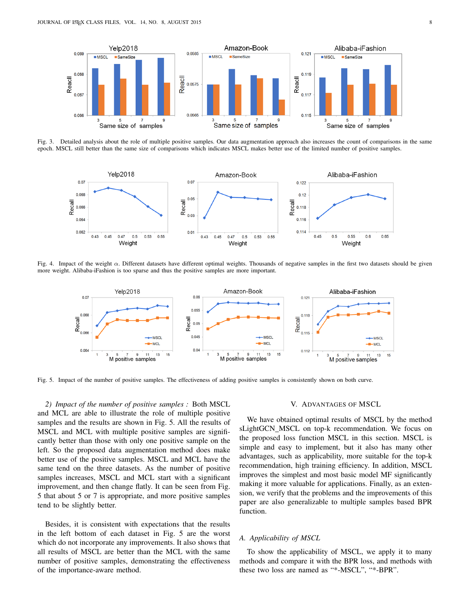

Fig. 3. Detailed analysis about the role of multiple positive samples. Our data augmentation approach also increases the count of comparisons in the same epoch. MSCL still better than the same size of comparisons which indicates MSCL makes better use of the limited number of positive samples.



Fig. 4. Impact of the weight  $\alpha$ . Different datasets have different optimal weights. Thousands of negative samples in the first two datasets should be given more weight. Alibaba-iFashion is too sparse and thus the positive samples are more important.



Fig. 5. Impact of the number of positive samples. The effectiveness of adding positive samples is consistently shown on both curve.

*2) Impact of the number of positive samples :* Both MSCL and MCL are able to illustrate the role of multiple positive samples and the results are shown in Fig. 5. All the results of MSCL and MCL with multiple positive samples are significantly better than those with only one positive sample on the left. So the proposed data augmentation method does make better use of the positive samples. MSCL and MCL have the same tend on the three datasets. As the number of positive samples increases, MSCL and MCL start with a significant improvement, and then change flatly. It can be seen from Fig. 5 that about 5 or 7 is appropriate, and more positive samples tend to be slightly better.

Besides, it is consistent with expectations that the results in the left bottom of each dataset in Fig. 5 are the worst which do not incorporate any improvements. It also shows that all results of MSCL are better than the MCL with the same number of positive samples, demonstrating the effectiveness of the importance-aware method.

## V. ADVANTAGES OF MSCL

We have obtained optimal results of MSCL by the method sLightGCN\_MSCL on top-k recommendation. We focus on the proposed loss function MSCL in this section. MSCL is simple and easy to implement, but it also has many other advantages, such as applicability, more suitable for the top-k recommendation, high training efficiency. In addition, MSCL improves the simplest and most basic model MF significantly making it more valuable for applications. Finally, as an extension, we verify that the problems and the improvements of this paper are also generalizable to multiple samples based BPR function.

#### *A. Applicability of MSCL*

To show the applicability of MSCL, we apply it to many methods and compare it with the BPR loss, and methods with these two loss are named as "\*-MSCL", "\*-BPR".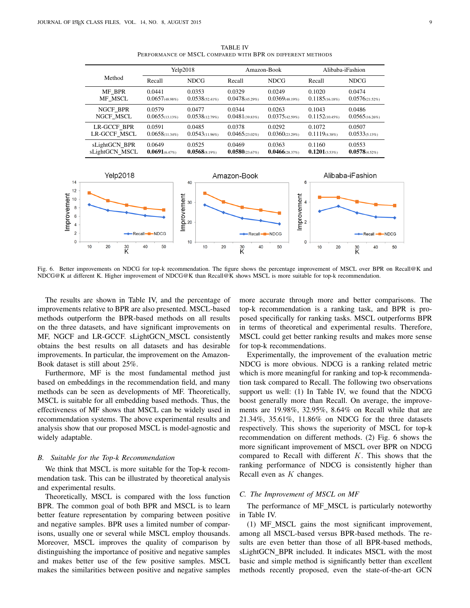|  |                             | Yelp2018                    |                             | Amazon-Book                 |                                | Alibaba-iFashion           |                                |
|--|-----------------------------|-----------------------------|-----------------------------|-----------------------------|--------------------------------|----------------------------|--------------------------------|
|  | Method                      | Recall                      | <b>NDCG</b>                 | Recall                      | <b>NDCG</b>                    | Recall                     | <b>NDCG</b>                    |
|  | MF BPR<br>MF MSCL           | 0.0441<br>$0.0657$ (48.98%) | 0.0353<br>$0.0538(52.41\%)$ | 0.0329<br>$0.0478(45.29\%)$ | 0.0249<br>$0.0369$ (48.19%)    | 0.1020<br>0.1185(16.18%)   | 0.0474<br>$0.0576_{(21.52\%)}$ |
|  | NGCF BPR<br>NGCF MSCL       | 0.0579<br>0.0655(13.13%)    | 0.0477<br>0.0538(12.79%)    | 0.0344<br>$0.0481$ (39.83%) | 0.0263<br>$0.0375(42.59\%)$    | 0.1043<br>0.1152(10.45%)   | 0.0486<br>$0.0565$ (16.26%)    |
|  | LR-GCCF BPR<br>LR-GCCF MSCL | 0.0591<br>$0.0658(11.34\%)$ | 0.0485<br>$0.0543(11.96\%)$ | 0.0378<br>$0.0465(23.02\%)$ | 0.0292<br>$0.0360_{(23.29\%)}$ | 0.1072<br>$0.1119$ (4.38%) | 0.0507<br>$0.0533_{(5.13\%)}$  |
|  | sLightGCN BPR               | 0.0649                      | 0.0525                      | 0.0469                      | 0.0363                         | 0.1160                     | 0.0553                         |

 $sLightGCN$  MSCL  $0.0691_{(6.47\%)}$   $0.0568_{(8.19\%)}$   $0.0580_{(23.67\%)}$   $0.0466_{(28.37\%)}$   $0.1201_{(3.53\%)}$   $0.0578_{(4.52\%)}$ 

TABLE IV PERFORMANCE OF MSCL COMPARED WITH BPR ON DIFFERENT METHODS



Fig. 6. Better improvements on NDCG for top-k recommendation. The figure shows the percentage improvement of MSCL over BPR on Recall@K and NDCG@K at different K. Higher improvement of NDCG@K than Recall@K shows MSCL is more suitable for top-k recommendation.

The results are shown in Table IV, and the percentage of improvements relative to BPR are also presented. MSCL-based methods outperform the BPR-based methods on all results on the three datasets, and have significant improvements on MF, NGCF and LR-GCCF. sLightGCN\_MSCL consistently obtains the best results on all datasets and has desirable improvements. In particular, the improvement on the Amazon-Book dataset is still about 25%.

Furthermore, MF is the most fundamental method just based on embeddings in the recommendation field, and many methods can be seen as developments of MF. Theoretically, MSCL is suitable for all embedding based methods. Thus, the effectiveness of MF shows that MSCL can be widely used in recommendation systems. The above experimental results and analysis show that our proposed MSCL is model-agnostic and widely adaptable.

#### *B. Suitable for the Top-k Recommendation*

We think that MSCL is more suitable for the Top-k recommendation task. This can be illustrated by theoretical analysis and experimental results.

Theoretically, MSCL is compared with the loss function BPR. The common goal of both BPR and MSCL is to learn better feature representation by comparing between positive and negative samples. BPR uses a limited number of comparisons, usually one or several while MSCL employ thousands. Moreover, MSCL improves the quality of comparison by distinguishing the importance of positive and negative samples and makes better use of the few positive samples. MSCL makes the similarities between positive and negative samples more accurate through more and better comparisons. The top-k recommendation is a ranking task, and BPR is proposed specifically for ranking tasks. MSCL outperforms BPR in terms of theoretical and experimental results. Therefore, MSCL could get better ranking results and makes more sense for top-k recommendations.

Experimentally, the improvement of the evaluation metric NDCG is more obvious. NDCG is a ranking related metric which is more meaningful for ranking and top-k recommendation task compared to Recall. The following two observations support us well: (1) In Table IV, we found that the NDCG boost generally more than Recall. On average, the improvements are 19.98%, 32.95%, 8.64% on Recall while that are 21.34%, 35.61%, 11.86% on NDCG for the three datasets respectively. This shows the superiority of MSCL for top-k recommendation on different methods. (2) Fig. 6 shows the more significant improvement of MSCL over BPR on NDCG compared to Recall with different  $K$ . This shows that the ranking performance of NDCG is consistently higher than Recall even as  $K$  changes.

# *C. The Improvement of MSCL on MF*

The performance of MF\_MSCL is particularly noteworthy in Table IV.

(1) MF MSCL gains the most significant improvement, among all MSCL-based versus BPR-based methods. The results are even better than those of all BPR-based methods, sLightGCN\_BPR included. It indicates MSCL with the most basic and simple method is significantly better than excellent methods recently proposed, even the state-of-the-art GCN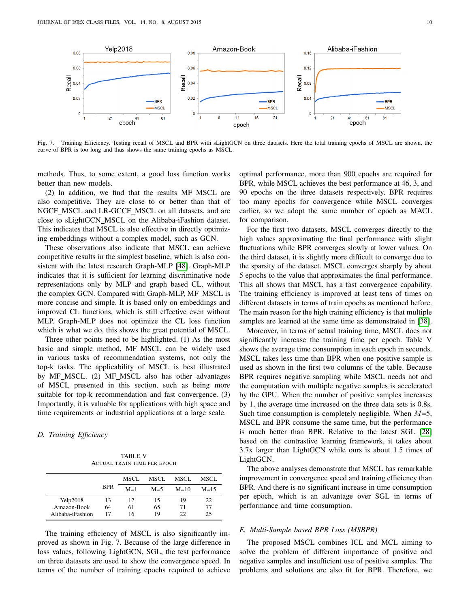

Fig. 7. Training Efficiency. Testing recall of MSCL and BPR with sLightGCN on three datasets. Here the total training epochs of MSCL are shown, the curve of BPR is too long and thus shows the same training epochs as MSCL.

methods. Thus, to some extent, a good loss function works better than new models.

(2) In addition, we find that the results MF MSCL are also competitive. They are close to or better than that of NGCF\_MSCL and LR-GCCF\_MSCL on all datasets, and are close to sLightGCN MSCL on the Alibaba-iFashion dataset. This indicates that MSCL is also effective in directly optimizing embeddings without a complex model, such as GCN.

These observations also indicate that MSCL can achieve competitive results in the simplest baseline, which is also consistent with the latest research Graph-MLP [\[48\]](#page-11-20). Graph-MLP indicates that it is sufficient for learning discriminative node representations only by MLP and graph based CL, without the complex GCN. Compared with Graph-MLP, MF MSCL is more concise and simple. It is based only on embeddings and improved CL functions, which is still effective even without MLP. Graph-MLP does not optimize the CL loss function which is what we do, this shows the great potential of MSCL.

Three other points need to be highlighted. (1) As the most basic and simple method, MF MSCL can be widely used in various tasks of recommendation systems, not only the top-k tasks. The applicability of MSCL is best illustrated by MF MSCL. (2) MF MSCL also has other advantages of MSCL presented in this section, such as being more suitable for top-k recommendation and fast convergence. (3) Importantly, it is valuable for applications with high space and time requirements or industrial applications at a large scale.

# *D. Training Efficiency*

TABLE V ACTUAL TRAIN TIME PER EPOCH

|                  |            | MSCL. | MSCL.   | MSCL   | MSCL.  |
|------------------|------------|-------|---------|--------|--------|
|                  | <b>BPR</b> | $M=1$ | $M = 5$ | $M=10$ | $M=15$ |
| Yelp2018         | 13         | 12    | 15      | 19     | 22     |
| Amazon-Book      | 64         | 61    | 65      | 71     | 77     |
| Alibaba-iFashion | 17         | 16    | 19      | 22     | 25     |

The training efficiency of MSCL is also significantly improved as shown in Fig. 7. Because of the large difference in loss values, following LightGCN, SGL, the test performance on three datasets are used to show the convergence speed. In terms of the number of training epochs required to achieve optimal performance, more than 900 epochs are required for BPR, while MSCL achieves the best performance at 46, 3, and 90 epochs on the three datasets respectively. BPR requires too many epochs for convergence while MSCL converges earlier, so we adopt the same number of epoch as MACL for comparison.

For the first two datasets, MSCL converges directly to the high values approximating the final performance with slight fluctuations while BPR converges slowly at lower values. On the third dataset, it is slightly more difficult to converge due to the sparsity of the dataset. MSCL converges sharply by about 5 epochs to the value that approximates the final performance. This all shows that MSCL has a fast convergence capability. The training efficiency is improved at least tens of times on different datasets in terms of train epochs as mentioned before. The main reason for the high training efficiency is that multiple samples are learned at the same time as demonstrated in [\[38\]](#page-11-11).

Moreover, in terms of actual training time, MSCL does not significantly increase the training time per epoch. Table V shows the average time consumption in each epoch in seconds. MSCL takes less time than BPR when one positive sample is used as shown in the first two columns of the table. Because BPR requires negative sampling while MSCL needs not and the computation with multiple negative samples is accelerated by the GPU. When the number of positive samples increases by 1, the average time increased on the three data sets is 0.8s. Such time consumption is completely negligible. When  $M=5$ , MSCL and BPR consume the same time, but the performance is much better than BPR. Relative to the latest SGL [\[28\]](#page-11-3) based on the contrastive learning framework, it takes about 3.7x larger than LightGCN while ours is about 1.5 times of LightGCN.

The above analyses demonstrate that MSCL has remarkable improvement in convergence speed and training efficiency than BPR. And there is no significant increase in time consumption per epoch, which is an advantage over SGL in terms of performance and time consumption.

#### *E. Multi-Sample based BPR Loss (MSBPR)*

The proposed MSCL combines ICL and MCL aiming to solve the problem of different importance of positive and negative samples and insufficient use of positive samples. The problems and solutions are also fit for BPR. Therefore, we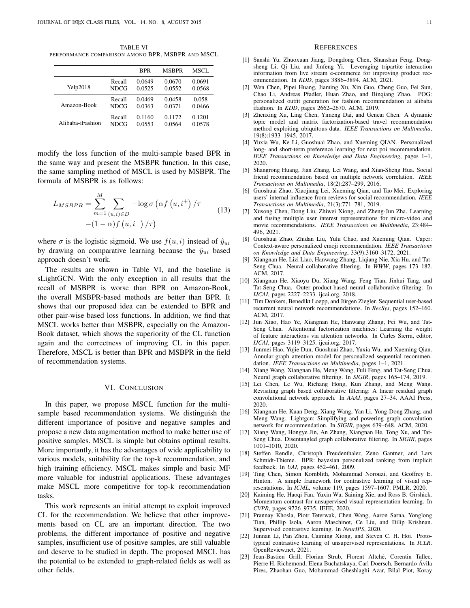TABLE VI PERFORMANCE COMPARISON AMONG BPR, MSBPR AND MSCL

|                  |             | <b>BPR</b> | <b>MSBPR</b> | MSCL   |
|------------------|-------------|------------|--------------|--------|
| Yelp2018         | Recall      | 0.0649     | 0.0670       | 0.0691 |
|                  | <b>NDCG</b> | 0.0525     | 0.0552       | 0.0568 |
| Amazon-Book      | Recall      | 0.0469     | 0.0458       | 0.058  |
|                  | <b>NDCG</b> | 0.0363     | 0.0371       | 0.0466 |
| Alibaba-iFashion | Recall      | 0.1160     | 0.1172       | 0.1201 |
|                  | <b>NDCG</b> | 0.0553     | 0.0564       | 0.0578 |

modify the loss function of the multi-sample based BPR in the same way and present the MSBPR function. In this case, the same sampling method of MSCL is used by MSBPR. The formula of MSBPR is as follows:

$$
L_{MSBPR} = \sum_{m=1}^{M} \sum_{(u,i)\in D} -\log \sigma \left(\alpha f\left(u,i^{+}\right) / \tau\right)
$$

$$
-(1-\alpha)f\left(u,i^{-}\right) / \tau\right)
$$
(13)

where  $\sigma$  is the logistic sigmoid. We use  $f(u, i)$  instead of  $\hat{y}_{ui}$ by drawing on comparative learning because the  $\hat{y}_{ui}$  based approach doesn't work.

The results are shown in Table VI, and the baseline is sLightGCN. With the only exception in all results that the recall of MSBPR is worse than BPR on Amazon-Book, the overall MSBPR-based methods are better than BPR. It shows that our proposed idea can be extended to BPR and other pair-wise based loss functions. In addition, we find that MSCL works better than MSBPR, especially on the Amazon-Book dataset, which shows the superiority of the CL function again and the correctness of improving CL in this paper. Therefore, MSCL is better than BPR and MSBPR in the field of recommendation systems.

## VI. CONCLUSION

In this paper, we propose MSCL function for the multisample based recommendation systems. We distinguish the different importance of positive and negative samples and propose a new data augmentation method to make better use of positive samples. MSCL is simple but obtains optimal results. More importantly, it has the advantages of wide applicability to various models, suitability for the top-k recommendation, and high training efficiency. MSCL makes simple and basic MF more valuable for industrial applications. These advantages make MSCL more competitive for top-k recommendation tasks.

This work represents an initial attempt to exploit improved CL for the recommendation. We believe that other improvements based on CL are an important direction. The two problems, the different importance of positive and negative samples, insufficient use of positive samples, are still valuable and deserve to be studied in depth. The proposed MSCL has the potential to be extended to graph-related fields as well as other fields.

#### **REFERENCES**

- <span id="page-10-0"></span>[1] Sanshi Yu, Zhuoxuan Jiang, Dongdong Chen, Shanshan Feng, Dongsheng Li, Qi Liu, and Jinfeng Yi. Leveraging tripartite interaction information from live stream e-commerce for improving product recommendation. In *KDD*, pages 3886–3894. ACM, 2021.
- <span id="page-10-1"></span>[2] Wen Chen, Pipei Huang, Jiaming Xu, Xin Guo, Cheng Guo, Fei Sun, Chao Li, Andreas Pfadler, Huan Zhao, and Binqiang Zhao. POG: personalized outfit generation for fashion recommendation at alibaba ifashion. In *KDD*, pages 2662–2670. ACM, 2019.
- <span id="page-10-2"></span>[3] Zhenxing Xu, Ling Chen, Yimeng Dai, and Gencai Chen. A dynamic topic model and matrix factorization-based travel recommendation method exploiting ubiquitous data. *IEEE Transactions on Multimedia*, 19(8):1933–1945, 2017.
- <span id="page-10-3"></span>[4] Yuxia Wu, Ke Li, Guoshuai Zhao, and Xueming QIAN. Personalized long- and short-term preference learning for next poi recommendation. *IEEE Transactions on Knowledge and Data Engineering*, pages 1–1, 2020.
- <span id="page-10-4"></span>[5] Shangrong Huang, Jian Zhang, Lei Wang, and Xian-Sheng Hua. Social friend recommendation based on multiple network correlation. *IEEE Transactions on Multimedia*, 18(2):287–299, 2016.
- <span id="page-10-5"></span>[6] Guoshuai Zhao, Xiaojiang Lei, Xueming Qian, and Tao Mei. Exploring users' internal influence from reviews for social recommendation. *IEEE Transactions on Multimedia*, 21(3):771–781, 2019.
- <span id="page-10-6"></span>[7] Xusong Chen, Dong Liu, Zhiwei Xiong, and Zheng-Jun Zha. Learning and fusing multiple user interest representations for micro-video and movie recommendations. *IEEE Transactions on Multimedia*, 23:484– 496, 2021.
- <span id="page-10-7"></span>[8] Guoshuai Zhao, Zhidan Liu, Yulu Chao, and Xueming Qian. Caper: Context-aware personalized emoji recommendation. *IEEE Transactions on Knowledge and Data Engineering*, 33(9):3160–3172, 2021.
- <span id="page-10-8"></span>[9] Xiangnan He, Lizi Liao, Hanwang Zhang, Liqiang Nie, Xia Hu, and Tat-Seng Chua. Neural collaborative filtering. In *WWW*, pages 173–182. ACM, 2017.
- <span id="page-10-9"></span>[10] Xiangnan He, Xiaoyu Du, Xiang Wang, Feng Tian, Jinhui Tang, and Tat-Seng Chua. Outer product-based neural collaborative filtering. In *IJCAI*, pages 2227–2233. ijcai.org, 2018.
- <span id="page-10-10"></span>[11] Tim Donkers, Benedikt Loepp, and Jürgen Ziegler. Sequential user-based recurrent neural network recommendations. In *RecSys*, pages 152–160. ACM, 2017.
- <span id="page-10-11"></span>[12] Jun Xiao, Hao Ye, Xiangnan He, Hanwang Zhang, Fei Wu, and Tat-Seng Chua. Attentional factorization machines: Learning the weight of feature interactions via attention networks. In Carles Sierra, editor, *IJCAI*, pages 3119–3125. ijcai.org, 2017.
- <span id="page-10-12"></span>[13] Junmei Hao, Yujie Dun, Guoshuai Zhao, Yuxia Wu, and Xueming Qian. Annular-graph attention model for personalized sequential recommendation. *IEEE Transactions on Multimedia*, pages 1–1, 2021.
- <span id="page-10-13"></span>[14] Xiang Wang, Xiangnan He, Meng Wang, Fuli Feng, and Tat-Seng Chua. Neural graph collaborative filtering. In *SIGIR*, pages 165–174, 2019.
- <span id="page-10-14"></span>[15] Lei Chen, Le Wu, Richang Hong, Kun Zhang, and Meng Wang. Revisiting graph based collaborative filtering: A linear residual graph convolutional network approach. In *AAAI*, pages 27–34. AAAI Press, 2020.
- <span id="page-10-15"></span>[16] Xiangnan He, Kuan Deng, Xiang Wang, Yan Li, Yong-Dong Zhang, and Meng Wang. Lightgcn: Simplifying and powering graph convolution network for recommendation. In *SIGIR*, pages 639–648. ACM, 2020.
- <span id="page-10-16"></span>[17] Xiang Wang, Hongye Jin, An Zhang, Xiangnan He, Tong Xu, and Tat-Seng Chua. Disentangled graph collaborative filtering. In *SIGIR*, pages 1001–1010, 2020.
- <span id="page-10-17"></span>[18] Steffen Rendle, Christoph Freudenthaler, Zeno Gantner, and Lars Schmidt-Thieme. BPR: bayesian personalized ranking from implicit feedback. In *UAI*, pages 452–461, 2009.
- <span id="page-10-18"></span>[19] Ting Chen, Simon Kornblith, Mohammad Norouzi, and Geoffrey E. Hinton. A simple framework for contrastive learning of visual representations. In *ICML*, volume 119, pages 1597–1607. PMLR, 2020.
- <span id="page-10-19"></span>[20] Kaiming He, Haoqi Fan, Yuxin Wu, Saining Xie, and Ross B. Girshick. Momentum contrast for unsupervised visual representation learning. In *CVPR*, pages 9726–9735. IEEE, 2020.
- [21] Prannay Khosla, Piotr Teterwak, Chen Wang, Aaron Sarna, Yonglong Tian, Phillip Isola, Aaron Maschinot, Ce Liu, and Dilip Krishnan. Supervised contrastive learning. In *NeurIPS*, 2020.
- [22] Junnan Li, Pan Zhou, Caiming Xiong, and Steven C. H. Hoi. Prototypical contrastive learning of unsupervised representations. In *ICLR*. OpenReview.net, 2021.
- [23] Jean-Bastien Grill, Florian Strub, Florent Altché, Corentin Tallec, Pierre H. Richemond, Elena Buchatskaya, Carl Doersch, Bernardo Avila ´ Pires, Zhaohan Guo, Mohammad Gheshlaghi Azar, Bilal Piot, Koray